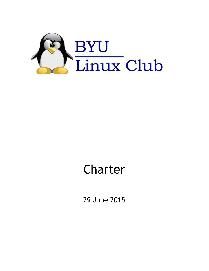

# Charter

29 June 2015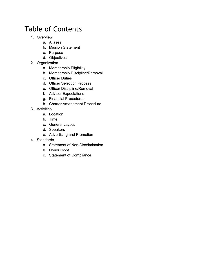# Table of Contents

- 1. Overview
	- a. Aliases
	- b. Mission Statement
	- c. Purpose
	- d. Objectives
- 2. Organization
	- a. Membership Eligibility
	- b. Membership Discipline/Removal
	- c. Officer Duties
	- d. Officer Selection Process
	- e. Officer Discipline/Removal
	- f. Advisor Expectations
	- g. Financial Procedures
	- h. Charter Amendment Procedure
- 3. Activities
	- a. Location
	- b. Time
	- c. General Layout
	- d. Speakers
	- e. Advertising and Promotion
- 4. Standards
	- a. Statement of Non-Discrimination
	- b. Honor Code
	- c. Statement of Compliance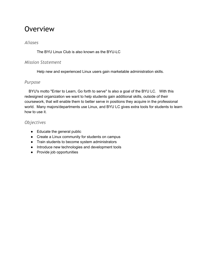# **Overview**

#### *Aliases*

The BYU Linux Club is also known as the BYU-LC

#### *Mission Statement*

Help new and experienced Linux users gain marketable administration skills.

#### *Purpose*

BYU's motto "Enter to Learn, Go forth to serve" Is also a goal of the BYU LC. With this redesigned organization we want to help students gain additional skills, outside of their coursework, that will enable them to better serve in positions they acquire in the professional world. Many majors/departments use Linux, and BYU LC gives extra tools for students to learn how to use it.

#### *Objectives*

- Educate the general public
- Create a Linux community for students on campus
- Train students to become system administrators
- Introduce new technologies and development tools
- Provide job opportunities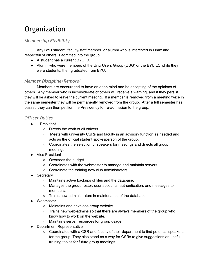# **Organization**

# *Membership Eligibility*

Any BYU student, faculty/staff member, or alumni who is interested in Linux and respectful of others is admitted into the group.

- A student has a current BYU ID.
- Alumni who were members of the Unix Users Group (UUG) or the BYU LC while they were students, then graduated from BYU.

#### *Member Discipline/Removal*

Members are encouraged to have an open mind and be accepting of the opinions of others. Any member who is inconsiderate of others will receive a warning, and if they persist, they will be asked to leave the current meeting. If a member is removed from a meeting twice in the same semester they will be permanently removed from the group. After a full semester has passed they can then petition the Presidency for re-admission to the group.

### *Officer Duties*

- **President** 
	- Directs the work of all officers.
	- Meets with university CSRs and faculty in an advisory function as needed and acts as the official student spokesperson of the group.
	- Coordinates the selection of speakers for meetings and directs all group meetings.
- Vice President
	- Oversees the budget.
	- Coordinates with the webmaster to manage and maintain servers.
	- Coordinate the training new club administrators.
- Secretary
	- Maintains active backups of files and the database.
	- Manages the group roster, user accounts, authentication, and messages to members.
	- Trains new administrators in maintenance of the database.
- Webmaster
	- Maintains and develops group website.
	- $\circ$  Trains new web-admins so that there are always members of the group who know how to work on the website.
	- Maintains server resources for group usage.
- Department Representative
	- Coordinates with a CSR and faculty of their department to find potential speakers for the group. They also stand as a way for CSRs to give suggestions on useful training topics for future group meetings.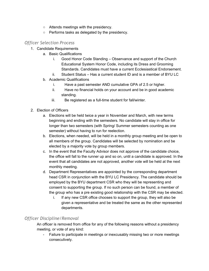- Attends meetings with the presidency.
- Performs tasks as delegated by the presidency.

### *Officer Selection Process*

- 1. Candidate Requirements
	- a. Basic Qualifications
		- i. Good Honor Code Standing Observance and support of the Church Educational System Honor Code, including its Dress and Grooming Standards. Candidates must have a current Ecclesiastical Endorsement.
		- ii. Student Status Has a current student ID and is a member of BYU LC
	- b. Academic Qualifications
		- i. Have a past semester AND cumulative GPA of 2.5 or higher.
		- ii. Have no financial holds on your account and be in good academic standing.
		- iii. Be registered as a full-time student for fall/winter.
- 2. Election of Officers
	- a. Elections will be held twice a year in November and March, with new terms beginning and ending with the semesters. No candidate will stay in office for longer than two semesters (with Spring/ Summer semesters counting as one semester) without having to run for reelection.
	- b. Elections, when needed, will be held in a monthly group meeting and be open to all members of the group. Candidates will be selected by nomination and be elected by a majority vote by group members.
	- c. In the event that the Faculty Advisor does not approve of the candidate choice, the office will fall to the runner up and so on, until a candidate is approved. In the event that all candidates are not approved, another vote will be held at the next monthly meeting.
	- d. Department Representatives are appointed by the corresponding department head CSR in conjunction with the BYU LC Presidency. The candidate should be employed by the BYU department CSR who they will be representing and consent to supporting the group. If no such person can be found, a member of the group who has a pre existing good relationship with the CSR may be elected.
		- i. If any new CSR office chooses to support the group, they will also be given a representative and be treated the same as the other represented departments.

# *Officer Discipline/Removal*

An officer is removed from office for any of the following reasons without a presidency meeting, or vote of any kind:

 Failure to participate in meetings or inexcusably missing two or more meetings consecutively.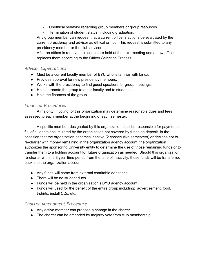- Unethical behavior regarding group members or group resources.
- Termination of student status, including graduation.

Any group member can request that a current officer's actions be evaluated by the current presidency and advisor as ethical or not. This request is submitted to any presidency member or the club advisor.

After an officer is removed, elections are held at the next meeting and a new officer replaces them according to the Officer Selection Process.

#### *Advisor Expectations*

- Must be a current faculty member of BYU who is familiar with Linux.
- Provides approval for new presidency members.
- Works with the presidency to find guest speakers for group meetings.
- Helps promote the group to other faculty and to students.
- Hold the finances of the group.

#### *Financial Procedures*

A majority, if voting, of this organization may determine reasonable dues and fees assessed to each member at the beginning of each semester.

A specific member, designated by this organization shall be responsible for payment in full of all debts accumulated by the organization not covered by funds on deposit. In the occasion that the organization becomes inactive (2 consecutive semesters) or decides not to recharter with money remaining in the organization agency account, the organization authorizes the sponsoring University entity to determine the use of those remaining funds or to transfer them to a holding account for future organization as needed. Should this organization recharter within a 3 year time period from the time of inactivity, those funds will be transferred back into the organization account.

- Any funds will come from external charitable donations.
- There will be no student dues.
- Funds will be held in the organization's BYU agency account.
- Funds will used for the benefit of the entire group including: advertisement, food, t-shirts, install CDs, etc.

#### *Charter Amendment Procedure*

- Any active member can propose a change in the charter.
- The charter can be amended by majority vote from club membership.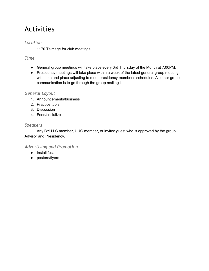# Activities

#### *Location*

1170 Talmage for club meetings.

### *Time*

- General group meetings will take place every 3rd Thursday of the Month at 7:00PM.
- Presidency meetings will take place within a week of the latest general group meeting, with time and place adjusting to meet presidency member's schedules. All other group communication is to go through the group mailing list.

#### *General Layout*

- 1. Announcements/business
- 2. Practice tools
- 3. Discussion
- 4. Food/socialize

#### *Speakers*

Any BYU LC member, UUG member, or invited guest who is approved by the group Advisor and Presidency.

### *Advertising and Promotion*

- Install fest
- posters/flyers